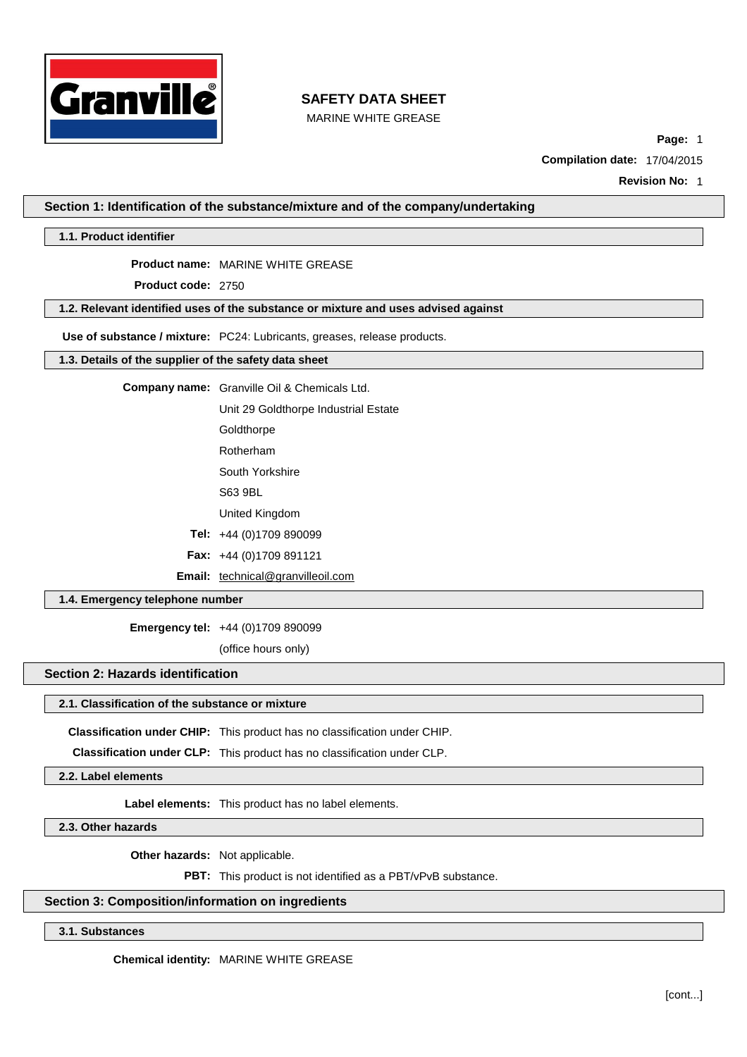

MARINE WHITE GREASE

**Page:** 1

**Compilation date:** 17/04/2015

**Revision No:** 1

**Section 1: Identification of the substance/mixture and of the company/undertaking**

**1.1. Product identifier**

**Product name:** MARINE WHITE GREASE

**Product code:** 2750

**1.2. Relevant identified uses of the substance or mixture and uses advised against**

**Use of substance / mixture:** PC24: Lubricants, greases, release products.

**1.3. Details of the supplier of the safety data sheet**

**Company name:** Granville Oil & Chemicals Ltd.

Unit 29 Goldthorpe Industrial Estate

**Goldthorpe** 

Rotherham

South Yorkshire

S63 9BL

United Kingdom

**Tel:** +44 (0)1709 890099

**Fax:** +44 (0)1709 891121

Email: [technical@granvilleoil.com](mailto:technical@granvilleoil.com)

## **1.4. Emergency telephone number**

**Emergency tel:** +44 (0)1709 890099

(office hours only)

## **Section 2: Hazards identification**

#### **2.1. Classification of the substance or mixture**

**Classification under CHIP:** This product has no classification under CHIP.

**Classification under CLP:** This product has no classification under CLP.

**2.2. Label elements**

**Label elements:** This product has no label elements.

**2.3. Other hazards**

**Other hazards:** Not applicable.

**PBT:** This product is not identified as a PBT/vPvB substance.

## **Section 3: Composition/information on ingredients**

**3.1. Substances**

**Chemical identity:** MARINE WHITE GREASE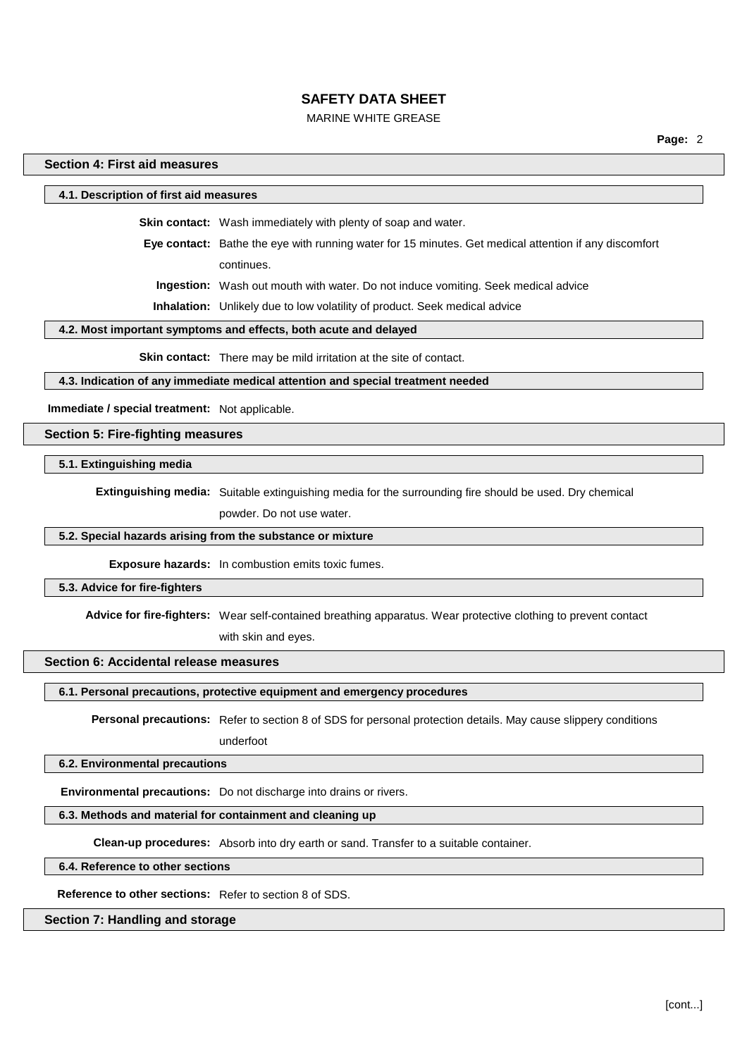## MARINE WHITE GREASE

## **Section 4: First aid measures**

**4.1. Description of first aid measures**

**Skin contact:** Wash immediately with plenty of soap and water.

**Eye contact:** Bathe the eye with running water for 15 minutes. Get medical attention if any discomfort continues.

**Ingestion:** Wash out mouth with water. Do not induce vomiting. Seek medical advice

**Inhalation:** Unlikely due to low volatility of product. Seek medical advice

#### **4.2. Most important symptoms and effects, both acute and delayed**

**Skin contact:** There may be mild irritation at the site of contact.

#### **4.3. Indication of any immediate medical attention and special treatment needed**

**Immediate / special treatment:** Not applicable.

### **Section 5: Fire-fighting measures**

#### **5.1. Extinguishing media**

**Extinguishing media:** Suitable extinguishing media for the surrounding fire should be used. Dry chemical

powder. Do not use water.

### **5.2. Special hazards arising from the substance or mixture**

**Exposure hazards:** In combustion emits toxic fumes.

#### **5.3. Advice for fire-fighters**

**Advice for fire-fighters:** Wear self-contained breathing apparatus. Wear protective clothing to prevent contact

with skin and eyes.

#### **Section 6: Accidental release measures**

**6.1. Personal precautions, protective equipment and emergency procedures**

**Personal precautions:** Refer to section 8 of SDS for personal protection details. May cause slippery conditions

underfoot

#### **6.2. Environmental precautions**

**Environmental precautions:** Do not discharge into drains or rivers.

#### **6.3. Methods and material for containment and cleaning up**

**Clean-up procedures:** Absorb into dry earth or sand. Transfer to a suitable container.

**6.4. Reference to other sections**

**Reference to other sections:** Refer to section 8 of SDS.

#### **Section 7: Handling and storage**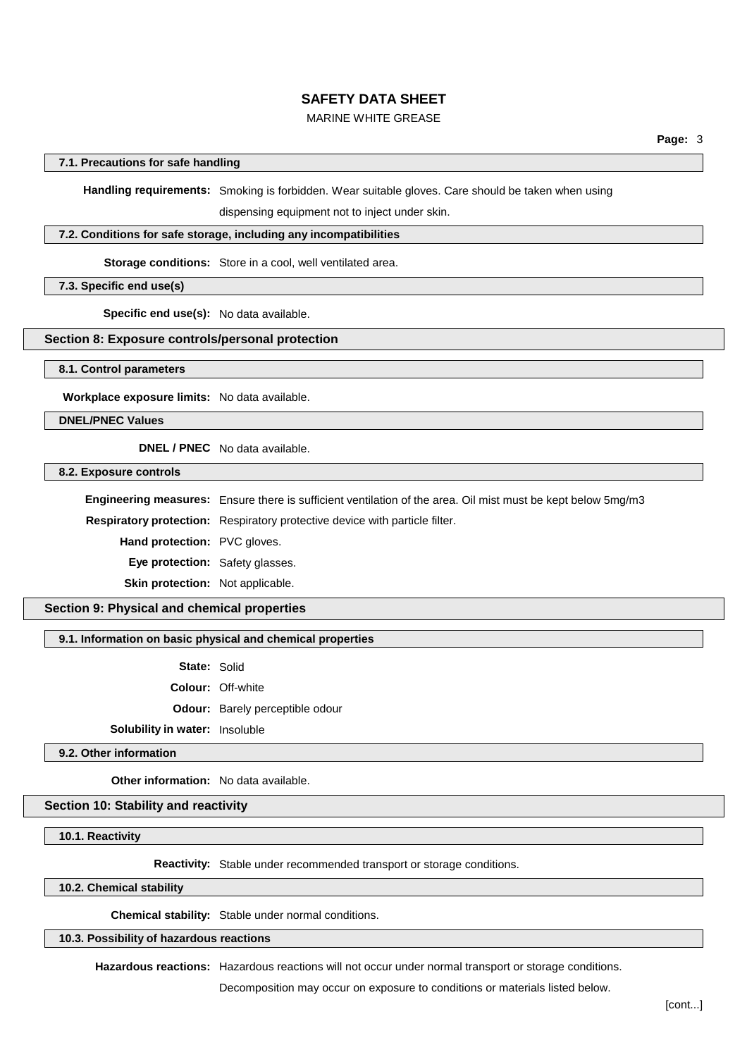## MARINE WHITE GREASE

## **7.1. Precautions for safe handling**

**Handling requirements:** Smoking is forbidden. Wear suitable gloves. Care should be taken when using

dispensing equipment not to inject under skin.

#### **7.2. Conditions for safe storage, including any incompatibilities**

**Storage conditions:** Store in a cool, well ventilated area.

**7.3. Specific end use(s)**

**Specific end use(s):** No data available.

## **Section 8: Exposure controls/personal protection**

**8.1. Control parameters**

**Workplace exposure limits:** No data available.

**DNEL/PNEC Values**

**DNEL / PNEC** No data available.

**8.2. Exposure controls**

**Engineering measures:** Ensure there is sufficient ventilation of the area. Oil mist must be kept below 5mg/m3

**Respiratory protection:** Respiratory protective device with particle filter.

**Hand protection:** PVC gloves.

**Eye protection:** Safety glasses.

**Skin protection:** Not applicable.

**Section 9: Physical and chemical properties**

## **9.1. Information on basic physical and chemical properties**

**State:** Solid

**Colour:** Off-white

**Odour:** Barely perceptible odour

**Solubility in water:** Insoluble

**9.2. Other information**

**Other information:** No data available.

## **Section 10: Stability and reactivity**

**10.1. Reactivity**

**Reactivity:** Stable under recommended transport or storage conditions.

**10.2. Chemical stability**

**Chemical stability:** Stable under normal conditions.

**10.3. Possibility of hazardous reactions**

**Hazardous reactions:** Hazardous reactions will not occur under normal transport or storage conditions.

Decomposition may occur on exposure to conditions or materials listed below.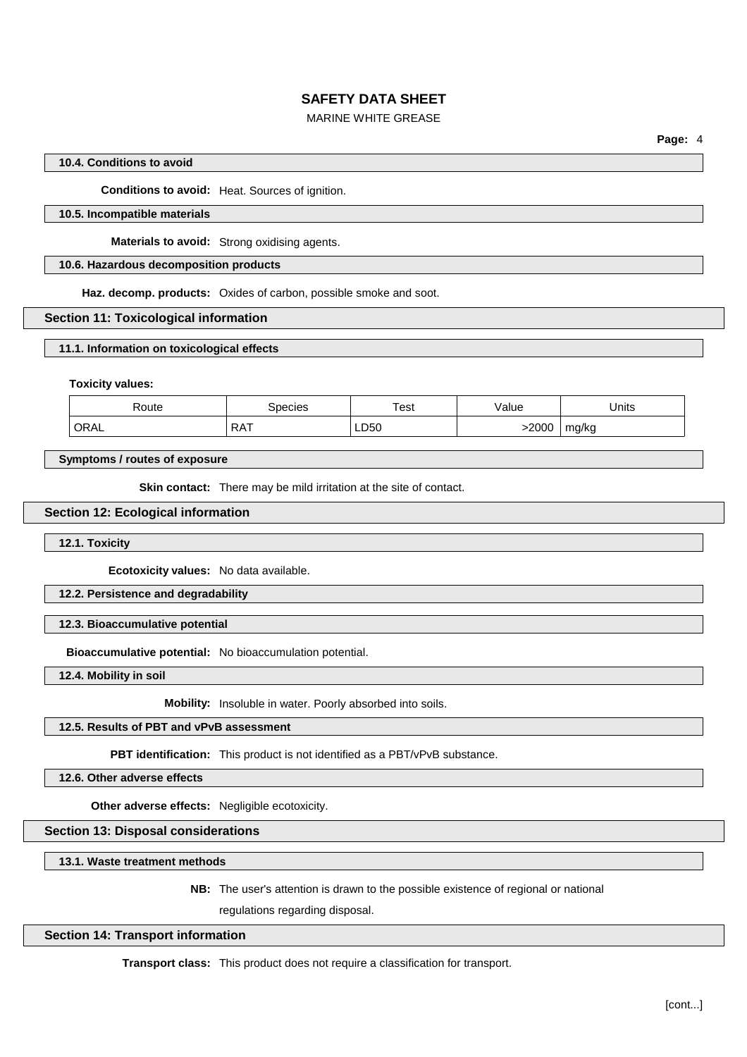## MARINE WHITE GREASE

**Page:** 4

## **10.4. Conditions to avoid**

**Conditions to avoid:** Heat. Sources of ignition.

## **10.5. Incompatible materials**

**Materials to avoid:** Strong oxidising agents.

#### **10.6. Hazardous decomposition products**

**Haz. decomp. products:** Oxides of carbon, possible smoke and soot.

#### **Section 11: Toxicological information**

**11.1. Information on toxicological effects**

#### **Toxicity values:**

| Route | Species    | ™est          | Value | Units<br>___ |
|-------|------------|---------------|-------|--------------|
| ORAL  | <b>RAT</b> | LD50<br>_____ | >2000 | ma/ka        |

## **Symptoms / routes of exposure**

**Skin contact:** There may be mild irritation at the site of contact.

#### **Section 12: Ecological information**

**12.1. Toxicity**

**Ecotoxicity values:** No data available.

# **12.2. Persistence and degradability**

#### **12.3. Bioaccumulative potential**

**Bioaccumulative potential:** No bioaccumulation potential.

**12.4. Mobility in soil**

**Mobility:** Insoluble in water. Poorly absorbed into soils.

## **12.5. Results of PBT and vPvB assessment**

**PBT identification:** This product is not identified as a PBT/vPvB substance.

**12.6. Other adverse effects**

**Other adverse effects:** Negligible ecotoxicity.

**Section 13: Disposal considerations**

**13.1. Waste treatment methods**

**NB:** The user's attention is drawn to the possible existence of regional or national

regulations regarding disposal.

#### **Section 14: Transport information**

**Transport class:** This product does not require a classification for transport.